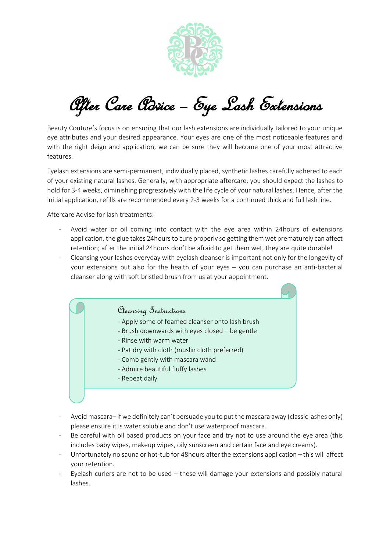

After Care Advice – Eye Lash Extensions

Beauty Couture's focus is on ensuring that our lash extensions are individually tailored to your unique eye attributes and your desired appearance. Your eyes are one of the most noticeable features and with the right deign and application, we can be sure they will become one of your most attractive features.

Eyelash extensions are semi-permanent, individually placed, synthetic lashes carefully adhered to each of your existing natural lashes. Generally, with appropriate aftercare, you should expect the lashes to hold for 3-4 weeks, diminishing progressively with the life cycle of your natural lashes. Hence, after the initial application, refills are recommended every 2-3 weeks for a continued thick and full lash line.

Aftercare Advise for lash treatments:

- Avoid water or oil coming into contact with the eye area within 24hours of extensions application, the glue takes 24hours to cure properly so getting them wet prematurely can affect retention; after the initial 24hours don't be afraid to get them wet, they are quite durable!
- Cleansing your lashes everyday with eyelash cleanser is important not only for the longevity of your extensions but also for the health of your eyes – you can purchase an anti-bacterial cleanser along with soft bristled brush from us at your appointment.

Cleansing Instructions

- Apply some of foamed cleanser onto lash brush
- Brush downwards with eyes closed be gentle
- Rinse with warm water
- Pat dry with cloth (muslin cloth preferred)
- Comb gently with mascara wand
- Admire beautiful fluffy lashes
- Repeat daily
- Avoid mascara– if we definitely can't persuade you to put the mascara away (classic lashes only) please ensure it is water soluble and don't use waterproof mascara.
- Be careful with oil based products on your face and try not to use around the eye area (this includes baby wipes, makeup wipes, oily sunscreen and certain face and eye creams).
- Unfortunately no sauna or hot-tub for 48hours after the extensions application this will affect your retention.
- Eyelash curlers are not to be used  $-$  these will damage your extensions and possibly natural lashes.